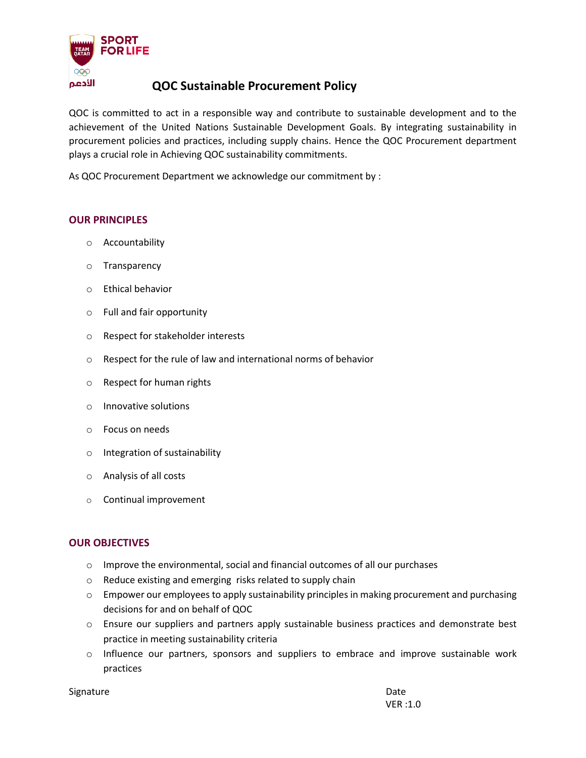

## **QOC Sustainable Procurement Policy**

QOC is committed to act in a responsible way and contribute to sustainable development and to the achievement of the United Nations Sustainable Development Goals. By integrating sustainability in procurement policies and practices, including supply chains. Hence the QOC Procurement department plays a crucial role in Achieving QOC sustainability commitments.

As QOC Procurement Department we acknowledge our commitment by :

#### **OUR PRINCIPLES**

- o Accountability
- o Transparency
- o Ethical behavior
- o Full and fair opportunity
- o Respect for stakeholder interests
- o Respect for the rule of law and international norms of behavior
- o Respect for human rights
- o Innovative solutions
- o Focus on needs
- o Integration of sustainability
- o Analysis of all costs
- o Continual improvement

### **OUR OBJECTIVES**

- o Improve the environmental, social and financial outcomes of all our purchases
- o Reduce existing and emerging risks related to supply chain
- o Empower our employees to apply sustainability principles in making procurement and purchasing decisions for and on behalf of QOC
- o Ensure our suppliers and partners apply sustainable business practices and demonstrate best practice in meeting sustainability criteria
- $\circ$  Influence our partners, sponsors and suppliers to embrace and improve sustainable work practices

Signature Date Date Communications and the Date Date Date Date